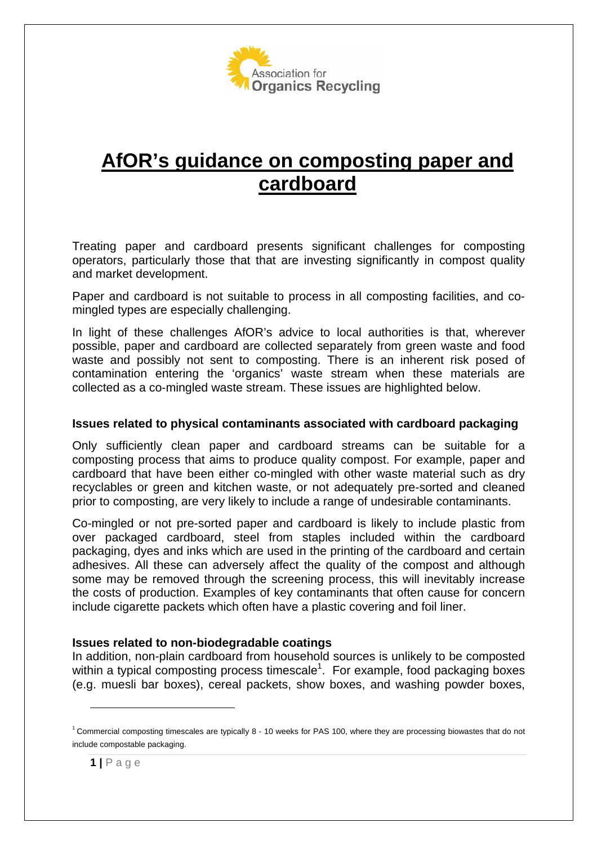

# **AfOR's guidance on composting paper and cardboard**

Treating paper and cardboard presents significant challenges for composting operators, particularly those that that are investing significantly in compost quality and market development.

Paper and cardboard is not suitable to process in all composting facilities, and comingled types are especially challenging.

In light of these challenges AfOR's advice to local authorities is that, wherever possible, paper and cardboard are collected separately from green waste and food waste and possibly not sent to composting. There is an inherent risk posed of contamination entering the 'organics' waste stream when these materials are collected as a co-mingled waste stream. These issues are highlighted below.

## **Issues related to physical contaminants associated with cardboard packaging**

Only sufficiently clean paper and cardboard streams can be suitable for a composting process that aims to produce quality compost. For example, paper and cardboard that have been either co-mingled with other waste material such as dry recyclables or green and kitchen waste, or not adequately pre-sorted and cleaned prior to composting, are very likely to include a range of undesirable contaminants.

Co-mingled or not pre-sorted paper and cardboard is likely to include plastic from over packaged cardboard, steel from staples included within the cardboard packaging, dyes and inks which are used in the printing of the cardboard and certain adhesives. All these can adversely affect the quality of the compost and although some may be removed through the screening process, this will inevitably increase the costs of production. Examples of key contaminants that often cause for concern include cigarette packets which often have a plastic covering and foil liner.

# **Issues related to non-biodegradable coatings**

In addition, non-plain cardboard from household sources is unlikely to be composted within a typical composting process timescale<sup>1</sup>. For example, food packaging boxes (e.g. muesli bar boxes), cereal packets, show boxes, and washing powder boxes,

<sup>&</sup>lt;sup>1</sup> Commercial composting timescales are typically 8 - 10 weeks for PAS 100, where they are processing biowastes that do not include compostable packaging.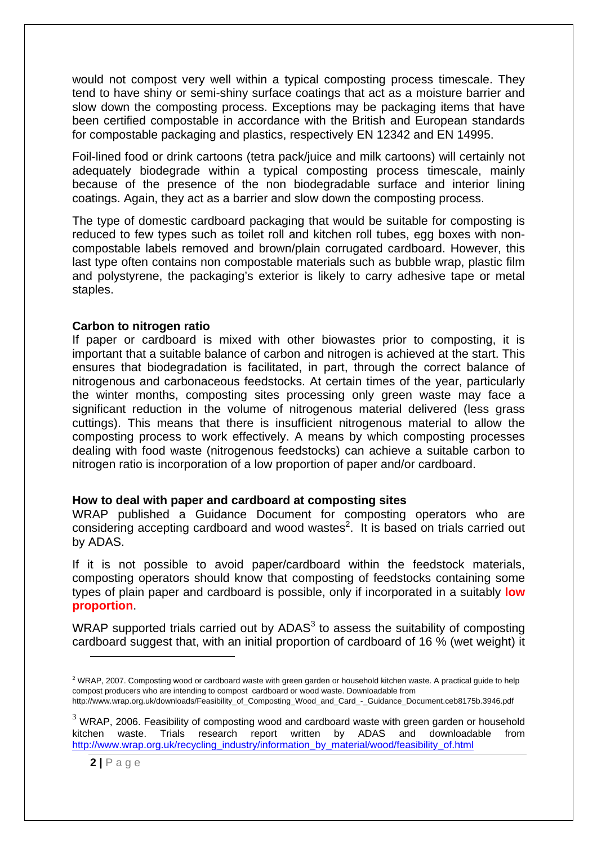would not compost very well within a typical composting process timescale. They tend to have shiny or semi-shiny surface coatings that act as a moisture barrier and slow down the composting process. Exceptions may be packaging items that have been certified compostable in accordance with the British and European standards for compostable packaging and plastics, respectively EN 12342 and EN 14995.

Foil-lined food or drink cartoons (tetra pack/juice and milk cartoons) will certainly not adequately biodegrade within a typical composting process timescale, mainly because of the presence of the non biodegradable surface and interior lining coatings. Again, they act as a barrier and slow down the composting process.

The type of domestic cardboard packaging that would be suitable for composting is reduced to few types such as toilet roll and kitchen roll tubes, egg boxes with noncompostable labels removed and brown/plain corrugated cardboard. However, this last type often contains non compostable materials such as bubble wrap, plastic film and polystyrene, the packaging's exterior is likely to carry adhesive tape or metal staples.

### **Carbon to nitrogen ratio**

If paper or cardboard is mixed with other biowastes prior to composting, it is important that a suitable balance of carbon and nitrogen is achieved at the start. This ensures that biodegradation is facilitated, in part, through the correct balance of nitrogenous and carbonaceous feedstocks. At certain times of the year, particularly the winter months, composting sites processing only green waste may face a significant reduction in the volume of nitrogenous material delivered (less grass cuttings). This means that there is insufficient nitrogenous material to allow the composting process to work effectively. A means by which composting processes dealing with food waste (nitrogenous feedstocks) can achieve a suitable carbon to nitrogen ratio is incorporation of a low proportion of paper and/or cardboard.

#### **How to deal with paper and cardboard at composting sites**

WRAP published a Guidance Document for composting operators who are considering accepting cardboard and wood wastes<sup>2</sup>. It is based on trials carried out by ADAS.

If it is not possible to avoid paper/cardboard within the feedstock materials, composting operators should know that composting of feedstocks containing some types of plain paper and cardboard is possible, only if incorporated in a suitably **low proportion**.

WRAP supported trials carried out by ADAS $3$  to assess the suitability of composting cardboard suggest that, with an initial proportion of cardboard of 16 % (wet weight) it

 $\overline{a}$ 

<sup>&</sup>lt;sup>2</sup> WRAP, 2007. Composting wood or cardboard waste with green garden or household kitchen waste. A practical guide to help compost producers who are intending to compost cardboard or wood waste. Downloadable from http://www.wrap.org.uk/downloads/Feasibility\_of\_Composting\_Wood\_and\_Card\_-\_Guidance\_Document.ceb8175b.3946.pdf

 $3$  WRAP, 2006. Feasibility of composting wood and cardboard waste with green garden or household kitchen waste. Trials research report written by ADAS and downloadable from http://www.wrap.org.uk/recycling\_industry/information\_by\_material/wood/feasibility\_of.html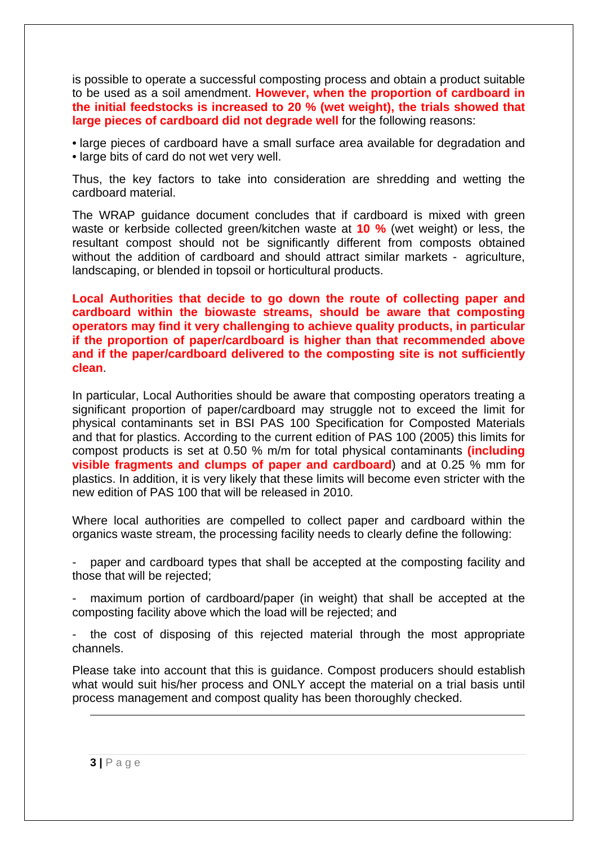is possible to operate a successful composting process and obtain a product suitable to be used as a soil amendment. **However, when the proportion of cardboard in the initial feedstocks is increased to 20 % (wet weight), the trials showed that large pieces of cardboard did not degrade well** for the following reasons:

• large pieces of cardboard have a small surface area available for degradation and • large bits of card do not wet very well.

Thus, the key factors to take into consideration are shredding and wetting the cardboard material.

The WRAP guidance document concludes that if cardboard is mixed with green waste or kerbside collected green/kitchen waste at **10 %** (wet weight) or less, the resultant compost should not be significantly different from composts obtained without the addition of cardboard and should attract similar markets - agriculture, landscaping, or blended in topsoil or horticultural products.

**Local Authorities that decide to go down the route of collecting paper and cardboard within the biowaste streams, should be aware that composting operators may find it very challenging to achieve quality products, in particular if the proportion of paper/cardboard is higher than that recommended above and if the paper/cardboard delivered to the composting site is not sufficiently clean**.

In particular, Local Authorities should be aware that composting operators treating a significant proportion of paper/cardboard may struggle not to exceed the limit for physical contaminants set in BSI PAS 100 Specification for Composted Materials and that for plastics. According to the current edition of PAS 100 (2005) this limits for compost products is set at 0.50 % m/m for total physical contaminants **(including visible fragments and clumps of paper and cardboard**) and at 0.25 % mm for plastics. In addition, it is very likely that these limits will become even stricter with the new edition of PAS 100 that will be released in 2010.

Where local authorities are compelled to collect paper and cardboard within the organics waste stream, the processing facility needs to clearly define the following:

- paper and cardboard types that shall be accepted at the composting facility and those that will be rejected;

maximum portion of cardboard/paper (in weight) that shall be accepted at the composting facility above which the load will be rejected; and

the cost of disposing of this rejected material through the most appropriate channels.

Please take into account that this is guidance. Compost producers should establish what would suit his/her process and ONLY accept the material on a trial basis until process management and compost quality has been thoroughly checked.